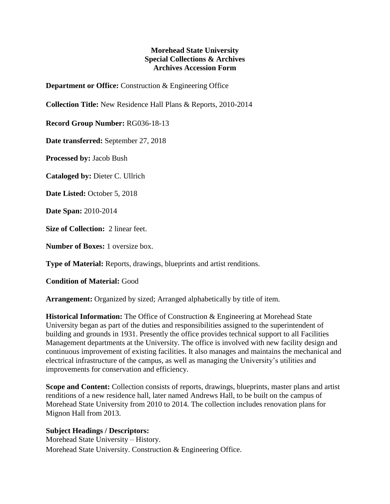## **Morehead State University Special Collections & Archives Archives Accession Form**

**Department or Office:** Construction & Engineering Office

**Collection Title:** New Residence Hall Plans & Reports, 2010-2014

**Record Group Number:** RG036-18-13

**Date transferred:** September 27, 2018

**Processed by:** Jacob Bush

**Cataloged by:** Dieter C. Ullrich

**Date Listed:** October 5, 2018

**Date Span:** 2010-2014

**Size of Collection:** 2 linear feet.

**Number of Boxes:** 1 oversize box.

**Type of Material:** Reports, drawings, blueprints and artist renditions.

## **Condition of Material:** Good

**Arrangement:** Organized by sized; Arranged alphabetically by title of item.

**Historical Information:** The Office of Construction & Engineering at Morehead State University began as part of the duties and responsibilities assigned to the superintendent of building and grounds in 1931. Presently the office provides technical support to all Facilities Management departments at the University. The office is involved with new facility design and continuous improvement of existing facilities. It also manages and maintains the mechanical and electrical infrastructure of the campus, as well as managing the University's utilities and improvements for conservation and efficiency.

**Scope and Content:** Collection consists of reports, drawings, blueprints, master plans and artist renditions of a new residence hall, later named Andrews Hall, to be built on the campus of Morehead State University from 2010 to 2014. The collection includes renovation plans for Mignon Hall from 2013.

## **Subject Headings / Descriptors:**

Morehead State University – History. Morehead State University. Construction & Engineering Office.